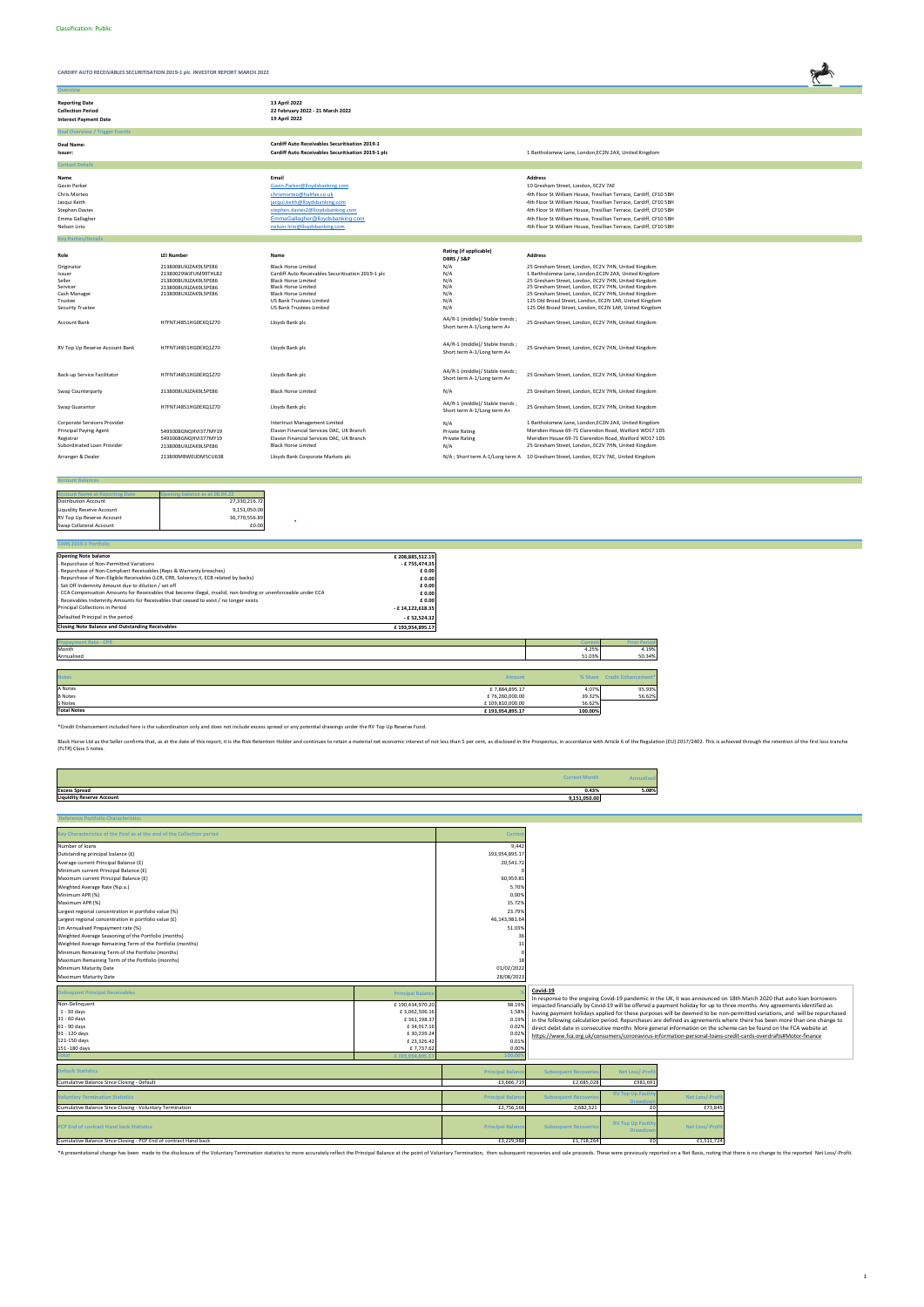**Ov** 

**CARDIFF AUTO RECEIVABLES SECURITISATION 2019-1 plc INVESTOR REPORT MARCH 2022**



| <b>Reporting Date</b><br><b>Collection Period</b><br><b>Interest Payment Date</b>                                      |                                                                                                                      | 13 April 2022<br>22 February 2022 - 21 March 2022<br>19 April 2022                                                                                                                                                                 |                                                                                                  |                                                                                                                                                                                                                                                                                                                                                                                                                |
|------------------------------------------------------------------------------------------------------------------------|----------------------------------------------------------------------------------------------------------------------|------------------------------------------------------------------------------------------------------------------------------------------------------------------------------------------------------------------------------------|--------------------------------------------------------------------------------------------------|----------------------------------------------------------------------------------------------------------------------------------------------------------------------------------------------------------------------------------------------------------------------------------------------------------------------------------------------------------------------------------------------------------------|
| <b>Deal Overview / Trigger Events</b>                                                                                  |                                                                                                                      |                                                                                                                                                                                                                                    |                                                                                                  |                                                                                                                                                                                                                                                                                                                                                                                                                |
| Deal Name:<br>Issuer:                                                                                                  |                                                                                                                      | <b>Cardiff Auto Receivables Securitisation 2019-1</b><br>Cardiff Auto Receivables Securitisation 2019-1 plc                                                                                                                        |                                                                                                  | 1 Bartholomew Lane, London, EC2N 2AX, United Kingdom                                                                                                                                                                                                                                                                                                                                                           |
| <b>Contact Details</b>                                                                                                 |                                                                                                                      |                                                                                                                                                                                                                                    |                                                                                                  |                                                                                                                                                                                                                                                                                                                                                                                                                |
| Name<br>Gavin Parker<br>Chris Morteo<br>Jacqui Keith<br><b>Stephen Davies</b><br>Emma Gallagher<br>Nelson Lirio        |                                                                                                                      | Email<br>Gavin.Parker@lloydsbanking.com<br>chrismorteo@halifax.co.uk<br>jacqui.keith@lloydsbanking.com<br>stephen.davies2@lloydsbanking.com<br>EmmaGallagher@lloydsbanking.com<br>nelson.lirio@lloydsbanking.com                   |                                                                                                  | <b>Address</b><br>10 Gresham Street, London, EC2V 7AE<br>4th Floor St William House, Tresillian Terrace, Cardiff, CF10 5BH<br>4th Floor St William House, Tresillian Terrace, Cardiff, CF10 5BH<br>4th Floor St William House, Tresillian Terrace, Cardiff, CF10 5BH<br>4th Floor St William House, Tresillian Terrace, Cardiff, CF10 5BH<br>4th Floor St William House, Tresillian Terrace, Cardiff, CF10 5BH |
| <b>Key Parties/Details</b>                                                                                             |                                                                                                                      |                                                                                                                                                                                                                                    |                                                                                                  |                                                                                                                                                                                                                                                                                                                                                                                                                |
| Role                                                                                                                   | <b>LEI Number</b>                                                                                                    | Name                                                                                                                                                                                                                               | Rating (if applicable)<br>DBRS / S&P                                                             | <b>Address</b>                                                                                                                                                                                                                                                                                                                                                                                                 |
| Originator<br>Issuer<br>Seller<br>Servicer<br>Cash Manager<br>Trustee<br><b>Security Trustee</b>                       | 2138008UXJZAK9L5PE86<br>21380029WJFUM99THL82<br>2138008UXJZAK9L5PE86<br>2138008UXJZAK9L5PE86<br>2138008UXJZAK9L5PE86 | <b>Black Horse Limited</b><br>Cardiff Auto Receivables Securitisation 2019-1 plc<br><b>Black Horse Limited</b><br><b>Black Horse Limited</b><br><b>Black Horse Limited</b><br>US Bank Trustees Limited<br>US Bank Trustees Limited | N/A<br>N/A<br>N/A<br>N/A<br>N/A<br>N/A<br>N/A                                                    | 25 Gresham Street, London, EC2V 7HN, United Kingdom<br>1 Bartholomew Lane, London, EC2N 2AX, United Kingdom<br>25 Gresham Street, London, EC2V 7HN, United Kingdom<br>25 Gresham Street, London, EC2V 7HN, United Kingdom<br>25 Gresham Street, London, EC2V 7HN, United Kingdom<br>125 Old Broad Street, London, EC2N 1AR, United Kingdom<br>125 Old Broad Street, London, EC2N 1AR, United Kingdom           |
| <b>Account Bank</b>                                                                                                    | H7FNTJ4851HG0EXQ1Z70                                                                                                 | Lloyds Bank plc                                                                                                                                                                                                                    | AA/R-1 (middle)/ Stable trends;<br>Short term A-1/Long term A+                                   | 25 Gresham Street, London, EC2V 7HN, United Kingdom                                                                                                                                                                                                                                                                                                                                                            |
| RV Top Up Reserve Account Bank                                                                                         | H7FNTJ4851HG0EXQ1Z70                                                                                                 | Lloyds Bank plc                                                                                                                                                                                                                    | AA/R-1 (middle)/ Stable trends;<br>Short term A-1/Long term A+                                   | 25 Gresham Street, London, EC2V 7HN, United Kingdom                                                                                                                                                                                                                                                                                                                                                            |
| Back-up Service Facilitator                                                                                            | H7FNTJ4851HG0EXQ1Z70                                                                                                 | Lloyds Bank plc                                                                                                                                                                                                                    | AA/R-1 (middle)/ Stable trends;<br>Short term A-1/Long term A+                                   | 25 Gresham Street, London, EC2V 7HN, United Kingdom                                                                                                                                                                                                                                                                                                                                                            |
| Swap Counterparty                                                                                                      | 2138008UXJZAK9L5PE86                                                                                                 | <b>Black Horse Limited</b>                                                                                                                                                                                                         | N/A                                                                                              | 25 Gresham Street, London, EC2V 7HN, United Kingdom                                                                                                                                                                                                                                                                                                                                                            |
| Swap Guarantor                                                                                                         | H7FNTJ4851HG0EXQ1Z70                                                                                                 | Lloyds Bank plc                                                                                                                                                                                                                    | AA/R-1 (middle)/ Stable trends;<br>Short term A-1/Long term A+                                   | 25 Gresham Street, London, EC2V 7HN, United Kingdom                                                                                                                                                                                                                                                                                                                                                            |
| Corporate Servicers Provider<br>Principal Paying Agent<br>Registrar<br>Subordinated Loan Provider<br>Arranger & Dealer | 5493008GNQHVI377MY19<br>5493008GNQHVI377MY19<br>2138008UXJZAK9L5PE86<br>213800MBWEIJDM5CU638                         | Intertrust Management Limited<br>Elavon Financial Services DAC, UK Branch<br>Elavon Financial Services DAC, UK Branch<br><b>Black Horse Limited</b><br>Lloyds Bank Corporate Markets plc                                           | N/A<br><b>Private Rating</b><br><b>Private Rating</b><br>N/A<br>N/A ; Short term A-1/Long term A | 1 Bartholomew Lane, London, EC2N 2AX, United Kingdom<br>Meridien House 69-71 Clarendon Road, Watford WD17 1DS<br>Meridien House 69-71 Clarendon Road, Watford WD17 1DS<br>25 Gresham Street, London, EC2V 7HN, United Kingdom<br>10 Gresham Street, London, EC2V 7AE, United Kingdom                                                                                                                           |
|                                                                                                                        |                                                                                                                      |                                                                                                                                                                                                                                    |                                                                                                  |                                                                                                                                                                                                                                                                                                                                                                                                                |

S Notes  $\epsilon$  109,810,000.00 56.62% **Total Notes £ 193,954,895.17 100.00%**

 $\ddot{\phantom{1}}$ 

#### **Account Balances**

| <b>Account Name at Reporting Date</b> | pening balance as at 08,04.22 |
|---------------------------------------|-------------------------------|
| <b>Distribution Account</b>           | 27,330,216.72                 |
| <b>Liquidity Reserve Account</b>      | 9,151,050.00                  |
| RV Top Up Reserve Account             | 36,770,556.89                 |
| Swap Collateral Account               | £0.00                         |

| CARS 2019-1 Portfolio                                                                                           |                  |               |               |                             |
|-----------------------------------------------------------------------------------------------------------------|------------------|---------------|---------------|-----------------------------|
| <b>Opening Note balance</b>                                                                                     | £208,885,512.19  |               |               |                             |
| - Repurchase of Non-Permitted Variations                                                                        | - £755,474.35    |               |               |                             |
| - Repurchase of Non-Compliant Receivables (Reps & Warranty breaches)                                            | £ 0.00           |               |               |                             |
| - Repurchase of Non-Eligible Receivables (LCR, CRR, Solvency II, ECB related by backs)                          | £ 0.00           |               |               |                             |
| - Set Off Indemnity Amount due to dilution / set off                                                            | £ 0.00           |               |               |                             |
| - CCA Compensation Amounts for Receivables that become illegal, invalid, non-binding or unenforceable under CCA | £ 0.00           |               |               |                             |
| - Receivables Indemnity Amounts for Receivables that ceased to exist / no longer exists                         | £ 0.00           |               |               |                             |
| Principal Collections in Period                                                                                 | - £14,122,618.35 |               |               |                             |
| Defaulted Principal in the period                                                                               | - £ 52,524.32    |               |               |                             |
| <b>Closing Note Balance and Outstanding Receivables</b>                                                         | £193,954,895.17  |               |               |                             |
|                                                                                                                 |                  |               |               |                             |
| <b>Prepayment Rate - CPR</b>                                                                                    |                  |               | <b>Curren</b> | <b>Prior Perior</b>         |
| Month                                                                                                           |                  |               | 4.25%         | 4.19%                       |
| Annualised                                                                                                      |                  |               | 51.03%        | 50.34%                      |
|                                                                                                                 |                  |               |               |                             |
| <b>Notes</b>                                                                                                    |                  | <b>Amount</b> |               | % Share Credit Enhancement* |
|                                                                                                                 |                  |               |               |                             |
| A Notes                                                                                                         |                  | £7,884,895.17 | 4.07%         | 95.93%                      |

|                                  | <b>Current Month</b> |       |
|----------------------------------|----------------------|-------|
| <b>Excess Spread</b>             | 0.43%                | 5.08% |
| <b>Liquidity Reserve Account</b> | 9,151,050.00         |       |

B Notes **E** 76,260,000.00 39.32% 56.62% 56.62%

| <b>Reference Portfolio Characteristics</b>                             |                |
|------------------------------------------------------------------------|----------------|
| Key Characteristics of the Pool as at the end of the Collection period | Current        |
| Number of loans                                                        | 9,442          |
| Outstanding principal balance (£)                                      | 193,954,895.17 |
| Average current Principal Balance (£)                                  | 20,541.72      |
| Minimum current Principal Balance (£)                                  |                |
| Maximum current Principal Balance (£)                                  | 60,959.81      |
| Weighted Average Rate (%p.a.)                                          | 5.70%          |
| Minimum APR (%)                                                        | 0.00%          |
| Maximum APR (%)                                                        | 15.72%         |
| Largest regional concentration in portfolio value (%)                  | 23.79%         |
| Largest regional concentration in portfolio value (£)                  | 46,143,981.64  |
| 1m Annualised Prepayment rate (%)                                      | 51.03%         |
| Weighted Average Seasoning of the Portfolio (months)                   | 36             |
| Weighted Average Remaining Term of the Portfolio (months)              | 11             |
| Minimum Remaining Term of the Portfolio (months)                       |                |
| Maximum Remaining Term of the Portfolio (months)                       | 18             |
| Minimum Maturity Date                                                  | 01/02/2022     |
| Maximum Maturity Date                                                  | 28/08/2023     |

| <b>Default Statistics</b>                                        | <b>Principal Balance</b> | <b>Subsequent Recoveries</b> | Net Loss/-Profit                             |                  |
|------------------------------------------------------------------|--------------------------|------------------------------|----------------------------------------------|------------------|
| Cumulative Balance Since Closing - Default                       | £3,666,719               | £2,685,028                   | £981,691                                     |                  |
| <b>Voluntary Termination Statistics</b>                          | <b>Principal Balance</b> | <b>Subsequent Recoveries</b> | <b>RV Top Up Facility</b><br><b>Drawdown</b> | Net Loss/-Profit |
| Cumulative Balance Since Closing - Voluntary Termination         | £2,756,166               | 2,682,321                    |                                              | £73,845          |
| PCP End of contract Hand back Statistics                         | <b>Principal Balance</b> | <b>Subsequent Recoveries</b> | <b>RV Top Up Facility</b><br>Drawdown        | Net Loss/-Profit |
| Cumulative Balance Since Closing - PCP End of contract Hand back | £3,229,988               | £1,718,264                   |                                              | £1,511,724       |

\*A presentational change has been made to the disclosure of the Voluntary Termination statistics to more accurately reflect the Principal Balance at the point of Voluntary Termination, then subsequent recoveries and sale p

\*Credit Enhancement included here is the subordination only and does not include excess spread or any potential drawings under the RV Top Up Reserve Fund.

Black Horse Ltd as the Seller confirms that, as at the date of this report, it is the Risk Retention Holder and continues to retain a material net economic interest of not less than 5 per cent, as disclosed in the Prospect

| <b>Delinquent Principal Receivables</b> | <b>Principal Balance</b> |        | Covid-19<br>In response to the ongoing Covid-19 pandemic in the UK, it was announced on 18th March 2020 that auto loan borrowers |
|-----------------------------------------|--------------------------|--------|----------------------------------------------------------------------------------------------------------------------------------|
| Non-Delinquent                          | £190,434,970.20          | 98.19% | impacted financially by Covid-19 will be offered a payment holiday for up to three months. Any agreements identified as          |
| $1 - 30$ days                           | £3,062,506.16            | 1.58%  | having payment holidays applied for these purposes will be deemed to be non-permitted variations, and will be repurchased        |
| 31 - 60 days                            | £361.198.37              | 0.19%  | in the following calculation period. Repurchases are defined as agreements where there has been more than one change to          |
| 61 - 90 days                            | £34.917.16               | 0.02%  | direct debit date in consecutive months More general information on the scheme can be found on the FCA website at                |
| 91 - 120 days                           | £30,239.24               | 0.02%  | https://www.fca.org.uk/consumers/coronavirus-information-personal-loans-credit-cards-overdrafts#Motor-finance                    |
| 121-150 days                            | £23,326.42               | 0.01%  |                                                                                                                                  |
| 151 - 180 days                          | £7.737.62                | 0.00%  |                                                                                                                                  |
|                                         |                          |        |                                                                                                                                  |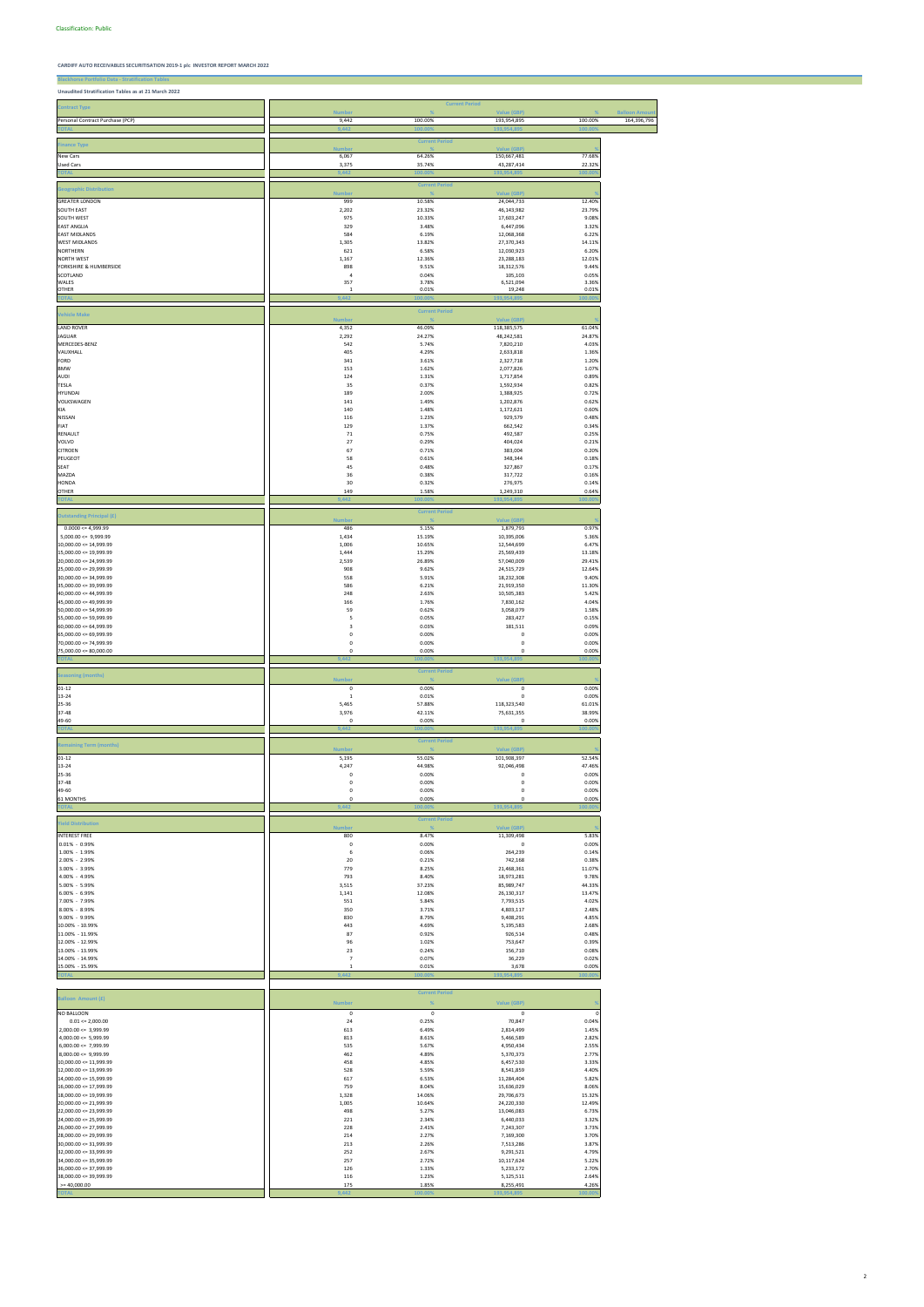**CARDIFF AUTO RECEIVABLES SECURITISATION 2019-1 plc INVESTOR REPORT MARCH 2022**

**Blackhorse Portfolio Data - Stratification Unaudited Stratification Tables as at 21 March 2022**

| <b>Contract Type</b>                                    | Number                | <b>Current Period</b><br>$\frac{1}{2}$ | <b>Value (GBP)</b>         | O                | <b>Balloon Amou</b> |
|---------------------------------------------------------|-----------------------|----------------------------------------|----------------------------|------------------|---------------------|
| Personal Contract Purchase (PCP)                        | 9,442                 | 100.00%                                | 193,954,895                | 100.00%          | 164,396,796         |
|                                                         | 9,442                 | 1.00                                   | 193,954                    | 100.             |                     |
|                                                         |                       | <b>Current Period</b>                  |                            |                  |                     |
| <b>Finance Type</b>                                     | <b>Numbe</b>          |                                        | <b>Value (GBP)</b>         |                  |                     |
| New Cars                                                | 6,067                 | 64.26%                                 | 150,667,481                | 77.68%           |                     |
| Used Cars                                               | 3,375                 | 35.74%                                 | 43,287,414                 | 22.32%           |                     |
| <b>TOTAL</b>                                            | 9,442                 | 100.00                                 | 193,954,89                 | 100.00           |                     |
| <b>Geographic Distribution</b>                          |                       | <b>Current Period</b>                  |                            |                  |                     |
|                                                         | <b>Number</b>         |                                        | Value (GBP)                |                  |                     |
| <b>GREATER LONDON</b>                                   | 999                   | 10.58%                                 | 24,044,733                 | 12.40%           |                     |
| SOUTH EAST<br>SOUTH WEST                                | 2,202<br>975          | 23.32%<br>10.33%                       | 46,143,982<br>17,603,247   | 23.79%<br>9.08%  |                     |
| <b>EAST ANGLIA</b>                                      | 329                   | 3.48%                                  | 6,447,096                  | 3.32%            |                     |
| <b>EAST MIDLANDS</b>                                    | 584                   | 6.19%                                  | 12,068,368                 | 6.22%            |                     |
| <b>WEST MIDLANDS</b>                                    | 1,305                 | 13.82%                                 | 27,370,343                 | 14.11%           |                     |
| NORTHERN                                                | 621                   | 6.58%                                  | 12,030,923                 | 6.20%            |                     |
| <b>NORTH WEST</b>                                       | 1,167                 | 12.36%                                 | 23,288,183                 | 12.01%           |                     |
| YORKSHIRE & HUMBERSIDE                                  | 898                   | 9.51%                                  | 18,312,576                 | 9.44%            |                     |
| SCOTLAND<br>WALES                                       | $\overline{a}$<br>357 | 0.04%<br>3.78%                         | 105,103<br>6,521,094       | 0.05%<br>3.36%   |                     |
| <b>OTHER</b>                                            | 1                     | 0.01%                                  | 19,248                     | 0.01%            |                     |
| <b>TOTAL</b>                                            | ,442                  | (00.00)                                | 193,954,89!                | 00.009           |                     |
|                                                         |                       | <b>Current Period</b>                  |                            |                  |                     |
| <b>Vehicle Make</b>                                     | <b>Numbe</b>          |                                        | <b>Value (GBP)</b>         |                  |                     |
| <b>LAND ROVER</b>                                       | 4,352                 | 46.09%                                 | 118,385,575                | 61.04%           |                     |
| JAGUAR                                                  | 2,292                 | 24.27%                                 | 48,242,581                 | 24.87%           |                     |
| MERCEDES-BENZ                                           | 542                   | 5.74%                                  | 7,820,210                  | 4.03%            |                     |
| VAUXHALL                                                | 405                   | 4.29%                                  | 2,633,818                  | 1.36%            |                     |
| FORD<br><b>BMW</b>                                      | 341<br>153            | 3.61%<br>1.62%                         | 2,327,718<br>2,077,826     | 1.20%<br>1.07%   |                     |
| AUDI                                                    | 124                   | 1.31%                                  | 1,717,854                  | 0.89%            |                     |
| <b>TESLA</b>                                            | 35                    | 0.37%                                  | 1,592,934                  | 0.82%            |                     |
| HYUNDAI                                                 | 189                   | 2.00%                                  | 1,388,925                  | 0.72%            |                     |
| VOLKSWAGEN                                              | 141                   | 1.49%                                  | 1,202,876                  | 0.62%            |                     |
| KIA                                                     | 140                   | 1.48%                                  | 1,172,621                  | 0.60%            |                     |
| NISSAN                                                  | 116                   | 1.23%                                  | 929,579                    | 0.48%            |                     |
| FIAT<br>RENAULT                                         | 129<br>71             | 1.37%<br>0.75%                         | 662,542<br>492,587         | 0.34%<br>0.25%   |                     |
| VOLVO                                                   | 27                    | 0.29%                                  | 404,024                    | 0.21%            |                     |
| <b>CITROEN</b>                                          | 67                    | 0.71%                                  | 383,004                    | 0.20%            |                     |
| PEUGEOT                                                 | 58                    | 0.61%                                  | 348,344                    | 0.18%            |                     |
| SEAT                                                    | 45                    | 0.48%                                  | 327,867                    | 0.17%            |                     |
| MAZDA                                                   | 36                    | 0.38%                                  | 317,722                    | 0.16%            |                     |
| <b>HONDA</b>                                            | 30                    | 0.32%                                  | 276,975                    | 0.14%            |                     |
| <b>OTHER</b><br><b>TOTAL</b>                            | 149<br>9,442          | 1.58%<br>100.00                        | 1,249,310<br>193,954,89    | 0.64%<br>100.00  |                     |
|                                                         |                       |                                        |                            |                  |                     |
| <b>Outstanding Principal (£)</b>                        | <b>Number</b>         | <b>Current Period</b>                  | <b>Value (GBP)</b>         |                  |                     |
| $0.0000 \le 4,999.99$                                   | 486                   | 5.15%                                  | 1,879,793                  | 0.97%            |                     |
| $5,000.00 \le 9,999.99$                                 | 1,434                 | 15.19%                                 | 10,395,006                 | 5.36%            |                     |
| $10,000.00 \le 14,999.99$                               | 1,006                 | 10.65%                                 | 12,544,699                 | 6.47%            |                     |
| $15,000.00 \leq 19,999.99$                              | 1,444                 | 15.29%                                 | 25,569,439                 | 13.18%           |                     |
| $20,000.00 \le 24,999.99$                               | 2,539                 | 26.89%                                 | 57,040,009                 | 29.41%           |                     |
| $25,000.00 \le 29,999.99$<br>$30,000.00 \leq 34,999.99$ | 908<br>558            | 9.62%<br>5.91%                         | 24,515,729<br>18,232,308   | 12.64%<br>9.40%  |                     |
| 35,000.00 <= 39,999.99                                  | 586                   | 6.21%                                  | 21,919,350                 | 11.30%           |                     |
| $40,000.00 \le 44,999.99$                               | 248                   | 2.63%                                  | 10,505,383                 | 5.42%            |                     |
| $45,000.00 \le 49,999.99$                               | 166                   | 1.76%                                  | 7,830,162                  | 4.04%            |                     |
| $50,000.00 \leq 54,999.99$                              | 59                    | 0.62%                                  | 3,058,079                  | 1.58%            |                     |
| $55,000.00 \leq 59,999.99$                              | 5                     | 0.05%                                  | 283,427                    | 0.15%            |                     |
| $60,000.00 \le 64,999.99$                               | 3                     | 0.03%                                  | 181,511                    | 0.09%            |                     |
| $65,000.00 \le 69,999.99$<br>$70,000.00 \le 74,999.99$  | 0<br>0                | 0.00%<br>0.00%                         | 0<br>0                     | 0.00%<br>0.00%   |                     |
| $75,000.00 \le 80,000.00$                               | 0                     | 0.00%                                  | 0                          | 0.00%            |                     |
| <b>TOTA</b>                                             | 9.442                 | 100.009                                | 193,954.8                  | 100.009          |                     |
|                                                         |                       | <b>Current Period</b>                  |                            |                  |                     |
| <b>Seasoning (months)</b>                               | <b>Number</b>         |                                        | <b>Value (GBP)</b>         |                  |                     |
| $01 - 12$                                               | $\mathsf 0$           | 0.00%                                  | $\mathbf 0$                | 0.00%            |                     |
| 13-24                                                   | $\mathbf{1}$          | 0.01%                                  | 0                          | 0.00%            |                     |
| 25-36                                                   | 5,465                 | 57.88%                                 | 118,323,540                | 61.01%           |                     |
| 37-48                                                   | 3,976                 | 42.11%                                 | 75,631,355                 | 38.99%           |                     |
| 49-60<br><b>TOTAL</b>                                   | 0<br>9,442            | 0.00%<br>100.009                       | $\mathbf 0$<br>193,954,895 | 0.00%<br>100.009 |                     |
|                                                         |                       |                                        |                            |                  |                     |
| <b>Remaining Term (months)</b>                          |                       | <b>Current Period</b>                  |                            |                  |                     |
| $01 - 12$                                               | <b>Number</b>         |                                        | Value (GBP)                | 52.54%           |                     |
| 13-24                                                   | 5,195<br>4,247        | 55.02%<br>44.98%                       | 101,908,397<br>92,046,498  | 47.46%           |                     |
| 25-36                                                   | 0                     | 0.00%                                  | 0                          | 0.00%            |                     |
| 37-48                                                   | 0                     | 0.00%                                  | 0                          | 0.00%            |                     |
| 49-60                                                   | 0                     | 0.00%                                  | 0                          | 0.00%            |                     |
| 61 MONTHS                                               | 0                     | 0.00%                                  | 0                          | 0.00%            |                     |
| <b>TOTA</b>                                             | 9.442                 | 100.009                                | 193,954,                   | 00.00            |                     |
| <b>Yield Distribution</b>                               |                       | <b>Current Period</b>                  |                            |                  |                     |
|                                                         | <b>Number</b>         |                                        | Value (GBP)                |                  |                     |
| <b>INTEREST FREE</b>                                    | 800                   | 8.47%                                  | 11,309,498                 | 5.83%            |                     |
| $0.01\% - 0.99\%$                                       | $\mathbf 0$           | 0.00%                                  | $\pmb{0}$                  | 0.00%            |                     |
| 1.00% - 1.99%<br>2.00% - 2.99%                          | 6<br>20               | 0.06%<br>0.21%                         | 264,239<br>742,168         | 0.14%<br>0.38%   |                     |
| 3.00% - 3.99%                                           | 779                   | 8.25%                                  | 21,468,361                 | 11.07%           |                     |
| 4.00% - 4.99%                                           | 793                   | 8.40%                                  | 18,973,281                 | 9.78%            |                     |
| 5.00% - 5.99%                                           | 3,515                 | 37.23%                                 | 85,989,747                 | 44.33%           |                     |
| 6.00% - 6.99%                                           | 1,141                 | 12.08%                                 | 26,130,317                 | 13.47%           |                     |
| 7.00% - 7.99%                                           | 551                   | 5.84%                                  | 7,793,515                  | 4.02%            |                     |
| 8.00% - 8.99%                                           | 350                   | 3.71%                                  | 4,803,117                  | 2.48%            |                     |
| 9.00% - 9.99%<br>10.00% - 10.99%                        | 830<br>443            | 8.79%<br>4.69%                         | 9,408,291<br>5,195,583     | 4.85%<br>2.68%   |                     |
| 11.00% - 11.99%                                         | 87                    | 0.92%                                  | 926,514                    | 0.48%            |                     |
| 12.00% - 12.99%                                         | 96                    | 1.02%                                  | 753,647                    | 0.39%            |                     |
| 13.00% - 13.99%                                         | 23                    | 0.24%                                  | 156,710                    | 0.08%            |                     |
| 14.00% - 14.99%                                         | $\overline{7}$        | 0.07%                                  | 36,229                     | 0.02%            |                     |
| 15.00% - 15.99%                                         | $\mathbf{1}$          | 0.01%                                  | 3,678                      | 0.00%            |                     |

**TOTAL 9,442 100.00% 193,954,895 100.00%**

| <b>Balloon Amount (£)</b>  | <b>Number</b> | %       | <b>Value (GBP)</b> |         |
|----------------------------|---------------|---------|--------------------|---------|
| <b>NO BALLOON</b>          | 0             | 0       | 0                  |         |
| $0.01 \le 2,000.00$        | 24            | 0.25%   | 70,847             | 0.04%   |
| $2,000.00 \leq 3,999.99$   | 613           | 6.49%   | 2,814,499          | 1.45%   |
| $4,000.00 \leq 5,999.99$   | 813           | 8.61%   | 5,466,589          | 2.82%   |
| $6,000.00 \le 7,999.99$    | 535           | 5.67%   | 4,950,434          | 2.55%   |
| $8,000.00 \leq 9,999.99$   | 462           | 4.89%   | 5,370,373          | 2.77%   |
| $10,000.00 \leq 11,999.99$ | 458           | 4.85%   | 6,457,530          | 3.33%   |
| $12,000.00 \leq 13,999.99$ | 528           | 5.59%   | 8,541,859          | 4.40%   |
| $14,000.00 \leq 15,999.99$ | 617           | 6.53%   | 11,284,404         | 5.82%   |
| $16,000.00 \leq 17,999.99$ | 759           | 8.04%   | 15,636,029         | 8.06%   |
| $18,000.00 \leq 19,999.99$ | 1,328         | 14.06%  | 29,706,673         | 15.32%  |
| $20,000.00 \le 21,999.99$  | 1,005         | 10.64%  | 24,220,330         | 12.49%  |
| $22,000.00 \le 23,999.99$  | 498           | 5.27%   | 13,046,083         | 6.73%   |
| $24,000.00 \le 25,999.99$  | 221           | 2.34%   | 6,440,033          | 3.32%   |
| $26,000.00 \le 27,999.99$  | 228           | 2.41%   | 7,243,307          | 3.73%   |
| $28,000.00 \leq 29,999.99$ | 214           | 2.27%   | 7,169,300          | 3.70%   |
| $30,000.00 \leq 31,999.99$ | 213           | 2.26%   | 7,513,286          | 3.87%   |
| $32,000.00 \leq 33,999.99$ | 252           | 2.67%   | 9,291,521          | 4.79%   |
| $34,000.00 \leq 35,999.99$ | 257           | 2.72%   | 10,117,624         | 5.22%   |
| $36,000.00 \leq 37,999.99$ | 126           | 1.33%   | 5,233,172          | 2.70%   |
| $38.000.00 \leq 39.999.99$ | 116           | 1.23%   | 5,125,511          | 2.64%   |
| $>= 40,000.00$             | 175           | 1.85%   | 8,255,491          | 4.26%   |
| <b>TOTAL</b>               | 9,442         | 100.00% | 193,954,895        | 100.00% |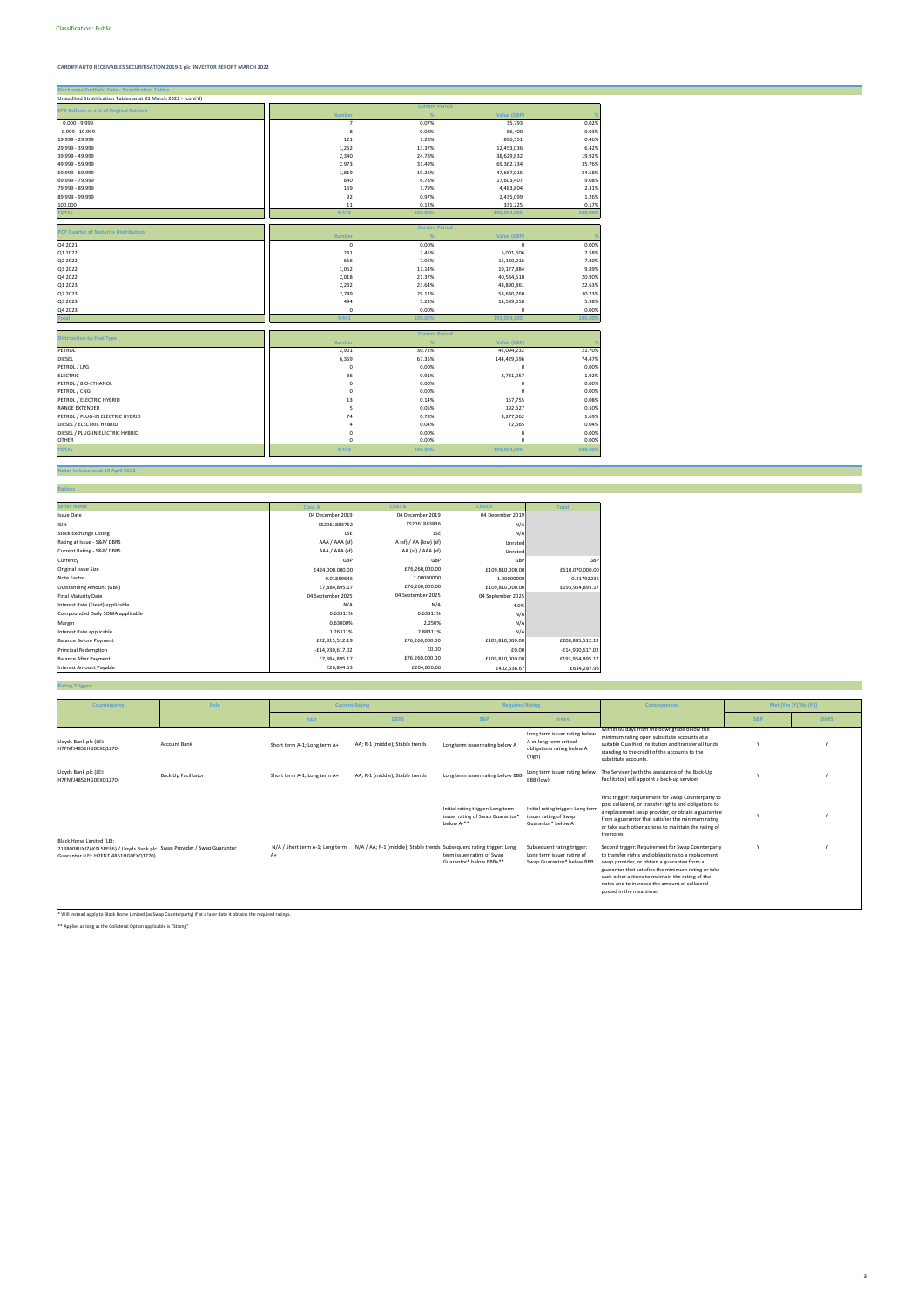# **CARDIFF AUTO RECEIVABLES SECURITISATION 2019-1 plc INVESTOR REPORT MARCH 2022**

### **Notes in Issue as at 19 April 2022**

**Ratings**

| <b>Blackhorse Portfolio Data - Stratification Tables</b>       |                |                       |                    |         |
|----------------------------------------------------------------|----------------|-----------------------|--------------------|---------|
| Unaudited Stratification Tables as at 21 March 2022 - (cont'd) |                |                       |                    |         |
| PCP Balloon as a % of Original Balance                         |                | <b>Current Period</b> |                    |         |
|                                                                | <b>Number</b>  | %                     | <b>Value (GBP)</b> |         |
| $0.000 - 9.999$                                                | $\overline{7}$ | 0.07%                 | 35,793             | 0.02%   |
| 9.999 - 19.999                                                 | 8              | 0.08%                 | 56,400             | 0.03%   |
| 19.999 - 29.999                                                | 121            | 1.28%                 | 896,551            | 0.46%   |
| 29.999 - 39.999                                                | 1,262          | 13.37%                | 12,453,036         | 6.42%   |
| 39.999 - 49.999                                                | 2,340          | 24.78%                | 38,629,832         | 19.92%  |
| 49.999 - 59.999                                                | 2,973          | 31.49%                | 69,362,734         | 35.76%  |
| 59.999 - 69.999                                                | 1,819          | 19.26%                | 47,667,015         | 24.58%  |
| 69.999 - 79.999                                                | 640            | 6.78%                 | 17,603,407         | 9.08%   |
| 79.999 - 89.999                                                | 169            | 1.79%                 | 4,483,804          | 2.31%   |
| 89.999 - 99.999                                                | 92             | 0.97%                 | 2,435,099          | 1.26%   |
| 100.000                                                        | 11             | 0.12%                 | 331,225            | 0.17%   |
| <b>TOTAL</b>                                                   | 9,442          | 100.00%               | 193,954,895        | 100.00% |
|                                                                |                |                       |                    |         |
| <b>PCP Quarter of Maturity Distribution</b>                    |                | <b>Current Period</b> |                    |         |
|                                                                | <b>Number</b>  | %                     | Value (GBP)        |         |
| Q4 2021                                                        | $\pmb{0}$      | 0.00%                 | $\mathsf 0$        | 0.00%   |
| Q1 2022                                                        | 231            | 2.45%                 | 5,001,606          | 2.58%   |
| Q2 2022                                                        | 666            | 7.05%                 | 15,130,216         | 7.80%   |
| Q3 2022                                                        | 1,052          | 11.14%                | 19,177,884         | 9.89%   |
| Q4 2022                                                        | 2,018          | 21.37%                | 40,534,510         | 20.90%  |
| Q1 2023                                                        | 2,232          | 23.64%                | 43,890,861         | 22.63%  |
| Q2 2023                                                        | 2,749          | 29.11%                | 58,630,760         | 30.23%  |
| Q3 2023                                                        | 494            | 5.23%                 | 11,589,058         | 5.98%   |
| Q4 2023                                                        | $\pmb{0}$      | 0.00%                 | $\pmb{0}$          | 0.00%   |
| <b>Total</b>                                                   | 9,442          | 100.00%               | 193,954,895        | 100.00  |
|                                                                |                |                       |                    |         |
|                                                                |                | <b>Current Period</b> |                    |         |
| <b>Distribution by Fuel Type</b>                               | <b>Number</b>  | %                     | <b>Value (GBP)</b> |         |
| PETROL                                                         | 2,901          | 30.72%                | 42,094,232         | 21.70%  |
| <b>DIESEL</b>                                                  | 6,359          | 67.35%                | 144,429,596        | 74.47%  |
| PETROL / LPG                                                   | $\pmb{0}$      | 0.00%                 | $\pmb{0}$          | 0.00%   |
| <b>ELECTRIC</b>                                                | 86             | 0.91%                 | 3,731,057          | 1.92%   |
| PETROL / BIO-ETHANOL                                           | 0              | 0.00%                 | $\mathbf 0$        | 0.00%   |
| PETROL / CNG                                                   | $\pmb{0}$      | 0.00%                 | $\mathbf 0$        | 0.00%   |
| PETROL / ELECTRIC HYBRID                                       | 13             | 0.14%                 | 157,755            | 0.08%   |
| <b>RANGE EXTENDER</b>                                          | 5              | 0.05%                 | 192,627            | 0.10%   |
| PETROL / PLUG-IN ELECTRIC HYBRID                               | 74             | 0.78%                 | 3,277,062          | 1.69%   |
| DIESEL / ELECTRIC HYBRID                                       | $\sqrt{4}$     | 0.04%                 | 72,565             | 0.04%   |
| DIESEL / PLUG-IN ELECTRIC HYBRID                               | $\pmb{0}$      | 0.00%                 | $\pmb{0}$          | 0.00%   |
| <b>OTHER</b>                                                   | $\mathbf 0$    | 0.00%                 | $\mathbf 0$        | 0.00%   |
|                                                                |                |                       |                    |         |
| <b>TOTAL</b>                                                   | 9,442          | 100.00%               | 193,954,895        | 100.00% |

**Rating Triggers**

| <b>Series Name</b>                | <b>Class A</b>    | <b>Class B</b>         | <b>Class S</b>    | <b>Total</b>    |
|-----------------------------------|-------------------|------------------------|-------------------|-----------------|
| <b>Issue Date</b>                 | 04 December 2019  | 04 December 2019       | 04 December 2019  |                 |
| <b>ISIN</b>                       | XS2061883752      | XS2061883836           | N/A               |                 |
| <b>Stock Exchange Listing</b>     | LSE               | LSE                    | N/A               |                 |
| Rating at Issue - S&P/DBRS        | AAA / AAA (sf)    | A (sf) / AA (low) (sf) | Unrated           |                 |
| Current Rating - S&P/DBRS         | AAA / AAA (sf)    | AA (sf) / AAA (sf)     | Unrated           |                 |
| Currency                          | GBP               | GBP                    | GBF               | GBP             |
| Original Issue Size               | £424,000,000.00   | £76,260,000.00         | £109,810,000.00   | £610,070,000.00 |
| Note Factor                       | 0.01859645        | 1.00000000             | 1.00000000        | 0.31792236      |
| <b>Outstanding Amount (GBP)</b>   | £7,884,895.17     | £76,260,000.00         | £109,810,000.00   | £193,954,895.17 |
| Final Maturity Date               | 04 September 2025 | 04 September 2025      | 04 September 2025 |                 |
| Interest Rate (Fixed) applicable  | N/A               | N/A                    | 4.0%              |                 |
| Compounded Daily SONIA applicable | 0.63311%          | 0.63311%               | N/A               |                 |
| Margin                            | 0.63000%          | 2.250%                 | N/A               |                 |
| Interest Rate applicable          | 1.26311%          | 2.88311%               | N/A               |                 |
| <b>Balance Before Payment</b>     | £22,815,512.19    | £76,260,000.00         | £109,810,000.00   | £208,885,512.19 |
| <b>Principal Redemption</b>       | $-£14,930,617.02$ | £0.00                  | £0.00             | -£14,930,617.02 |
| <b>Balance After Payment</b>      | £7,884,895.17     | £76,260,000.00         | £109,810,000.00   | £193,954,895.17 |
| Interest Amount Payable           | £26,844.63        | £204,806.66            | £402,636.67       | £634,287.96     |

\* Will instead apply to Black Horse Limited (as Swap Counterparty) if at a later date it obtains the required ratings.

\*\* Applies as long as the Collateral Option applicable is "Strong"

| Counterparty                                                                                                                                 | Role                       | <b>Current Rating</b>                   |                                                                       | <b>Required Rating</b>                                                                          |                                                                                                  | <b>Consequences</b>                                                                                                                                                                                                                                                                                                                             |                | Met (Yes (Y)/No (N)) |
|----------------------------------------------------------------------------------------------------------------------------------------------|----------------------------|-----------------------------------------|-----------------------------------------------------------------------|-------------------------------------------------------------------------------------------------|--------------------------------------------------------------------------------------------------|-------------------------------------------------------------------------------------------------------------------------------------------------------------------------------------------------------------------------------------------------------------------------------------------------------------------------------------------------|----------------|----------------------|
|                                                                                                                                              |                            | <b>S&amp;P</b>                          | <b>DBRS</b>                                                           | <b>S&amp;P</b>                                                                                  | <b>DBRS</b>                                                                                      |                                                                                                                                                                                                                                                                                                                                                 | <b>S&amp;P</b> | <b>DBRS</b>          |
| Lloyds Bank plc (LEI:<br>H7FNTJ4851HG0EXQ1Z70)                                                                                               | <b>Account Bank</b>        | Short term A-1; Long term A+            | AA; R-1 (middle); Stable trends                                       | Long term issuer rating below A                                                                 | Long term issuer rating below<br>A or long term critical<br>obligations rating below A<br>(high) | Within 60 days from the downgrade below the<br>minimum rating open substitute accounts at a<br>suitable Qualified Institution and transfer all funds<br>standing to the credit of the accounts to the<br>substitute accounts.                                                                                                                   |                |                      |
| Lloyds Bank plc (LEI:<br>H7FNTJ4851HG0EXQ1Z70)                                                                                               | <b>Back Up Facilitator</b> | Short term A-1; Long term A+            | AA; R-1 (middle); Stable trends                                       | Long term issuer rating below BBB-                                                              | Long term issuer rating below<br>BBB (low)                                                       | The Servicer (with the assistance of the Back-Up<br>Facilitator) will appoint a back-up servicer                                                                                                                                                                                                                                                |                |                      |
|                                                                                                                                              |                            |                                         |                                                                       | Initial rating trigger: Long term<br>issuer rating of Swap Guarantor <sup>®</sup><br>below A-** | Initial rating trigger: Long term<br>issuer rating of Swap<br>Guarantor* below A                 | First trigger: Requirement for Swap Counterparty to<br>post collateral, or transfer rights and obligations to<br>a replacement swap provider, or obtain a guarantee<br>from a guarantor that satisfies the minimum rating<br>or take such other actions to maintain the rating of<br>the notes.                                                 |                |                      |
| Black Horse Limited (LEI:<br>2138008UXJZAK9L5PE86) / Lloyds Bank plc Swap Provider / Swap Guarantor<br>Guarantor (LEI: H7FNTJ4851HG0EXQ1Z70) |                            | N/A / Short term A-1; Long term<br>$A+$ | N/A / AA; R-1 (middle); Stable trends Subsequent rating trigger: Long | term issuer rating of Swap<br>Guarantor* below BBB+**                                           | Subsequent rating trigger:<br>Long term issuer rating of<br>Swap Guarantor* below BBB            | Second trigger: Requirement for Swap Counterparty<br>to transfer rights and obligations to a replacement<br>swap provider, or obtain a guarantee from a<br>guarantor that satisfies the minimum rating or take<br>such other actions to maintain the rating of the<br>notes and to increase the amount of collateral<br>posted in the meantime. |                |                      |

3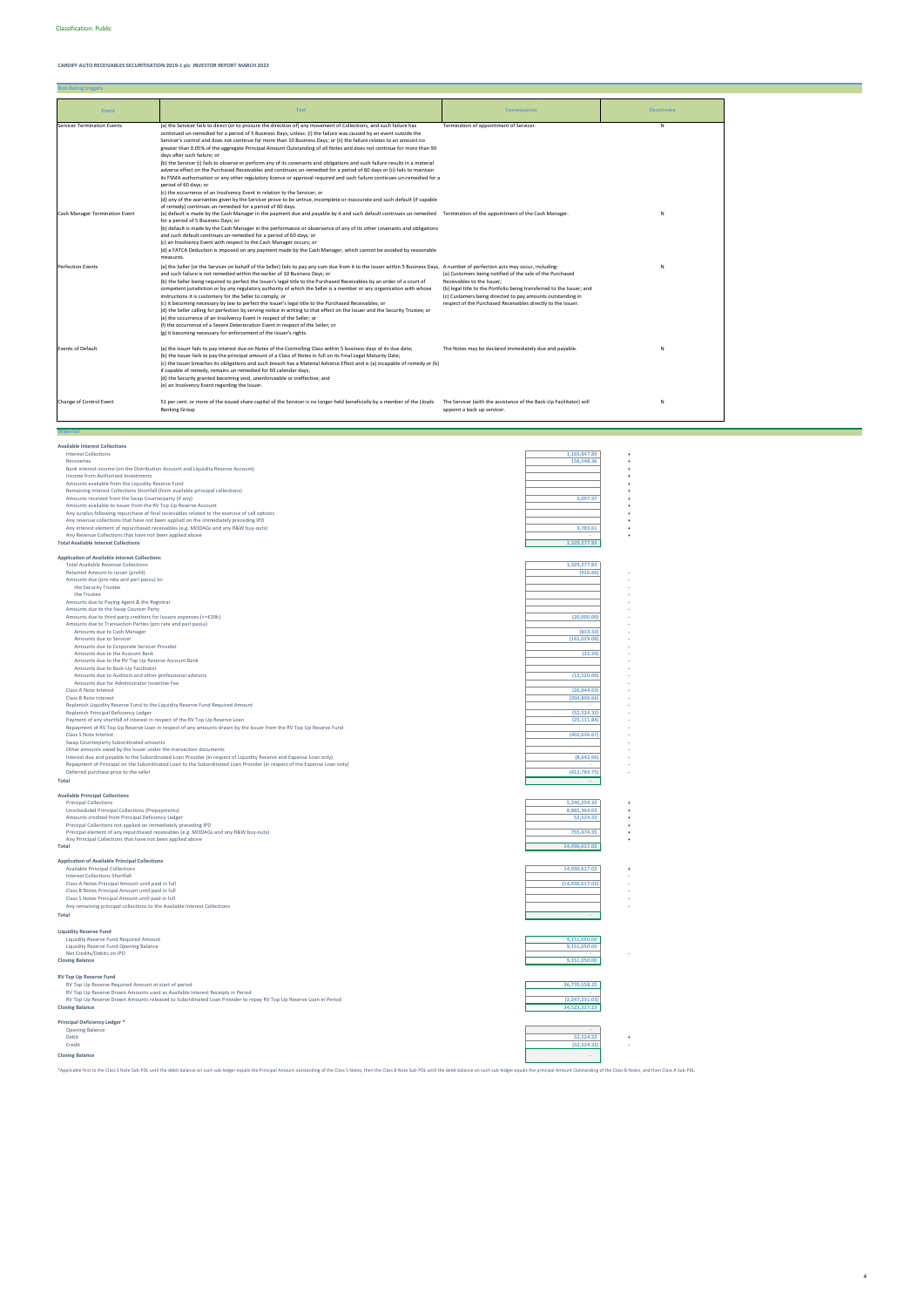# **CARDIFF AUTO RECEIVABLES SECURITISATION 2019-1 plc INVESTOR REPORT MARCH 2022**

**Non Rating triggers**

**Available Interest Collections**

**Wa** 

| Interest Collections                                                                                                    | 1,165,847.89    |  |
|-------------------------------------------------------------------------------------------------------------------------|-----------------|--|
| Recoveries                                                                                                              | 156,548.36      |  |
| Bank interest income (on the Distribution Account and Liquidity Reserve Account)                                        |                 |  |
| Income from Authorised Investments                                                                                      |                 |  |
| Amounts available from the Liquidity Reserve Fund                                                                       |                 |  |
| Remaining Interest Collections Shortfall (from available principal collections)                                         |                 |  |
| Amounts received from the Swap Counterparty (if any)                                                                    | 3,097.97        |  |
| Amounts available to Issuer from the RV Top Up Reserve Account                                                          |                 |  |
| Any surplus following repurchase of final receivables related to the exercise of call options                           |                 |  |
| Any revenue collections that have not been applied on the immediately preceding IPD                                     |                 |  |
| Any interest element of repurchased receivables (e.g. MODAGs and any R&W buy-outs)                                      | 3,783.61        |  |
| Any Revenue Collections that have not been applied above                                                                |                 |  |
| <b>Total Available Interest Collections</b>                                                                             | 1,329,277.83    |  |
|                                                                                                                         |                 |  |
| <b>Application of Available Interest Collections</b>                                                                    |                 |  |
| <b>Total Available Revenue Collections</b>                                                                              | 1,329,277.83    |  |
| Retained Amount to issuer (profit)                                                                                      | (916.66)        |  |
| Amounts due (pro rata and pari passu) to:                                                                               |                 |  |
| the Security Trustee                                                                                                    |                 |  |
| the Trustee                                                                                                             |                 |  |
| Amounts due to Paying Agent & the Registrar                                                                             |                 |  |
| Amounts due to the Swap Counter Party                                                                                   |                 |  |
| Amounts due to third party creditors for Issuers expenses (<=£20k)                                                      | (20,000.00)     |  |
| Amounts due to Transaction Parties (pro rata and pari passu)                                                            |                 |  |
| Amounts due to Cash Manager                                                                                             | (833.33)        |  |
| Amounts due to Servicer                                                                                                 | (161, 629.08)   |  |
| Amounts due to Corporate Servicer Provider                                                                              |                 |  |
| Amounts due to the Account Bank                                                                                         | (22.24)         |  |
| Amounts due to the RV Top Up Reserve Account Bank                                                                       |                 |  |
| Amounts due to Back-Up Facilitator                                                                                      |                 |  |
| Amounts due to Auditors and other professional advisors                                                                 | (12,520.00)     |  |
| Amounts due for Administrator Incentive Fee                                                                             |                 |  |
| Class A Note Interest                                                                                                   | (26, 844.63)    |  |
| Class B Note Interest                                                                                                   | (204, 806.66)   |  |
| Replenish Liquidity Reserve Fund to the Liquidity Reserve Fund Required Amount                                          |                 |  |
| Replenish Principal Deficiency Ledger                                                                                   | (52, 524.32)    |  |
| Payment of any shortfall of interest in respect of the RV Top Up Reserve Loan                                           | (25, 111.84)    |  |
| Repayment of RV Top Up Reserve Loan in respect of any amounts drawn by the Issuer from the RV Top Up Reserve Fund       |                 |  |
| Class S Note Interest                                                                                                   | (402, 636.67)   |  |
| Swap Counterparty Subordinated amounts                                                                                  |                 |  |
| Other amounts owed by the Issuer under the transaction documents                                                        |                 |  |
| Interest due and payable to the Subordinated Loan Provider (in respect of Liquidity Reserve and Expense Loan only)      | (8,642.66)      |  |
| Repayment of Principal on the Subordinated Loan to the Subordinated Loan Provider (in respect of the Expense Loan only) |                 |  |
| Deferred purchase price to the seller                                                                                   | (412, 789.75)   |  |
| Total                                                                                                                   |                 |  |
|                                                                                                                         |                 |  |
| <b>Available Principal Collections</b>                                                                                  |                 |  |
| <b>Principal Collections</b>                                                                                            | 5,240,254.32    |  |
| Unscheduled Principal Collections (Prepayments)                                                                         | 8,882,364.03    |  |
| Amounts credited from Principal Deficiency Ledger                                                                       | 52,524.32       |  |
| Principal Collections not applied on immediately preceding IPD                                                          |                 |  |
| Principal element of any repurchased receivables (e.g. MODAGs and any R&W buy-outs)                                     | 755,474.35      |  |
| Any Principal Collections that have not been applied above                                                              |                 |  |
| Total                                                                                                                   | 14,930,617.02   |  |
|                                                                                                                         |                 |  |
| <b>Application of Available Principal Collections</b>                                                                   |                 |  |
| <b>Available Principal Collections</b>                                                                                  | 14,930,617.02   |  |
| Interest Collections Shortfall                                                                                          |                 |  |
| Class A Notes Principal Amount until paid in full                                                                       | (14,930,617.02) |  |
| Class B Notes Principal Amount until paid in full                                                                       |                 |  |
| Class S Notes Principal Amount until paid in full                                                                       |                 |  |
| Any remaining principal collections to the Available Interest Collections                                               |                 |  |
| Total                                                                                                                   |                 |  |
|                                                                                                                         |                 |  |
|                                                                                                                         |                 |  |
| <b>Liquidity Reserve Fund</b>                                                                                           |                 |  |
| Liquidity Reserve Fund Required Amount                                                                                  | 9.151.050.00    |  |
| Liquidity Reserve Fund Opening Balance                                                                                  | 9,151,050.00    |  |
| Net Credits/Debits on IPD<br><b>Closing Balance</b>                                                                     | 9,151,050.00    |  |
|                                                                                                                         |                 |  |
|                                                                                                                         |                 |  |

**RV Top Up Reserve Fund** RV Top Up Reserve Required Amount at start of period **36,770,558.25**

| RV Top Up Reserve Drawn Amounts used as Available Interest Receipts in Period                                    |                |  |
|------------------------------------------------------------------------------------------------------------------|----------------|--|
| RV Top Up Reserve Drawn Amounts released to Subordinated Loan Provider to repay RV Top Up Reserve Loan in Period | (2,247,231.03) |  |
| <b>Closing Balance</b>                                                                                           | 34,523,327.23  |  |
|                                                                                                                  |                |  |
| Principal Deficiency Ledger <sup>*</sup>                                                                         |                |  |
| Opening Balance                                                                                                  |                |  |
| Debit                                                                                                            | 52,524.32      |  |
| Credit                                                                                                           | (52, 524.32)   |  |
| <b>Closing Balance</b>                                                                                           |                |  |
|                                                                                                                  |                |  |

\*Applicable first to the Class S Note Sub-PDL until the debit balance on such sub-ledger equals the Principal Amount outstanding of the Class S Notes, then the Class B Note Sub-PDL until the debit balance on such sub-ledge

| Event                              | <b>Test</b>                                                                                                                                                                                                                                                                                                                                                                                                                                                                                                                                                                                                                                                                                                                                                                                                                                                                                                                                                                                                                                                                                                                                       | <b>Consequence</b>                                                                                                                                                                                                                                                                             | <b>Occurrence</b> |
|------------------------------------|---------------------------------------------------------------------------------------------------------------------------------------------------------------------------------------------------------------------------------------------------------------------------------------------------------------------------------------------------------------------------------------------------------------------------------------------------------------------------------------------------------------------------------------------------------------------------------------------------------------------------------------------------------------------------------------------------------------------------------------------------------------------------------------------------------------------------------------------------------------------------------------------------------------------------------------------------------------------------------------------------------------------------------------------------------------------------------------------------------------------------------------------------|------------------------------------------------------------------------------------------------------------------------------------------------------------------------------------------------------------------------------------------------------------------------------------------------|-------------------|
| <b>Servicer Termination Events</b> | (a) the Servicer fails to direct (or to procure the direction of) any movement of Collections, and such failure has<br>continued un-remedied for a period of 5 Business Days, unless: (i) the failure was caused by an event outside the<br>Servicer's control and does not continue for more than 10 Business Days; or (ii) the failure relates to an amount no<br>greater than 0.05% of the aggregate Principal Amount Outstanding of all Notes and does not continue for more than 90<br>days after such failure: or<br>(b) the Servicer (i) fails to observe or perform any of its covenants and obligations and such failure results in a material<br>adverse effect on the Purchased Receivables and continues un-remedied for a period of 60 days or (ii) fails to maintain<br>its FSMA authorisation or any other regulatory licence or approval required and such failure continues un-remedied for a<br>period of 60 days; or<br>(c) the occurrence of an Insolvency Event in relation to the Servicer; or<br>(d) any of the warranties given by the Servicer prove to be untrue, incomplete or inaccurate and such default (if capable | Termination of appointment of Servicer.                                                                                                                                                                                                                                                        | N                 |
| Cash Manager Termination Event     | of remedy) continues un-remedied for a period of 60 days.<br>(a) default is made by the Cash Manager in the payment due and payable by it and such default continues un-remedied Termination of the appointment of the Cash Manager.<br>for a period of 5 Business Days; or<br>(b) default is made by the Cash Manager in the performance or observance of any of its other covenants and obligations<br>and such default continues un-remedied for a period of 60 days; or<br>(c) an Insolvency Event with respect to the Cash Manager occurs; or<br>(d) a FATCA Deduction is imposed on any payment made by the Cash Manager, which cannot be avoided by reasonable<br>measures.                                                                                                                                                                                                                                                                                                                                                                                                                                                                |                                                                                                                                                                                                                                                                                                | N                 |
| <b>Perfection Events</b>           | (a) the Seller (or the Servicer on behalf of the Seller) fails to pay any sum due from it to the Issuer within 5 Business Days, A number of perfection acts may occur, including:<br>and such failure is not remedied within the earlier of 10 Business Days; or<br>(b) the Seller being required to perfect the Issuer's legal title to the Purchased Receivables by an order of a court of<br>competent jurisdiction or by any regulatory authority of which the Seller is a member or any organisation with whose<br>instructions it is customary for the Seller to comply; or<br>(c) it becoming necessary by law to perfect the Issuer's legal title to the Purchased Receivables; or<br>(d) the Seller calling for perfection by serving notice in writing to that effect on the Issuer and the Security Trustee; or<br>(e) the occurrence of an Insolvency Event in respect of the Seller; or<br>(f) the occurrence of a Severe Deterioration Event in respect of the Seller; or<br>(g) it becoming necessary for enforcement of the Issuer's rights.                                                                                      | (a) Customers being notified of the sale of the Purchased<br>Receivables to the Issuer:<br>(b) legal title to the Portfolio being transferred to the Issuer; and<br>(c) Customers being directed to pay amounts outstanding in<br>respect of the Purchased Receivables directly to the Issuer. | N                 |
| <b>Events of Default</b>           | (a) the Issuer fails to pay interest due on Notes of the Controlling Class within 5 business days of its due date;<br>(b) the Issuer fails to pay the principal amount of a Class of Notes in full on its Final Legal Maturity Date;<br>(c) the Issuer breaches its obligations and such breach has a Material Adverse Effect and is (a) incapable of remedy or (b)<br>if capable of remedy, remains un-remedied for 60 calendar days;<br>(d) the Security granted becoming void, unenforceable or ineffective; and<br>(e) an Insolvency Event regarding the Issuer.                                                                                                                                                                                                                                                                                                                                                                                                                                                                                                                                                                              | The Notes may be declared immediately due and payable.                                                                                                                                                                                                                                         | N                 |
| Change of Control Event            | 51 per cent. or more of the issued share capital of the Servicer is no longer held beneficially by a member of the Lloyds<br><b>Banking Group</b>                                                                                                                                                                                                                                                                                                                                                                                                                                                                                                                                                                                                                                                                                                                                                                                                                                                                                                                                                                                                 | The Servicer (with the assistance of the Back-Up Facilitator) will<br>appoint a back up servicer.                                                                                                                                                                                              | N                 |

**Contract Contract Contract**